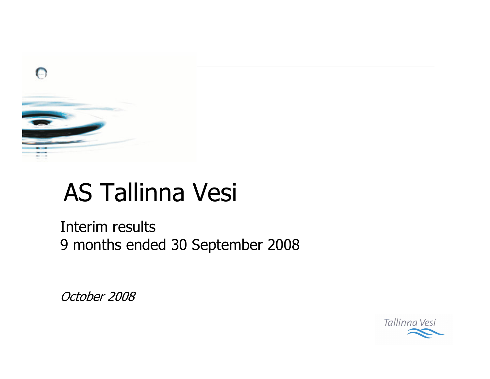

# **AS Tallinna Vesi**

Interim results 9 months ended 30 September 2008

October 2008

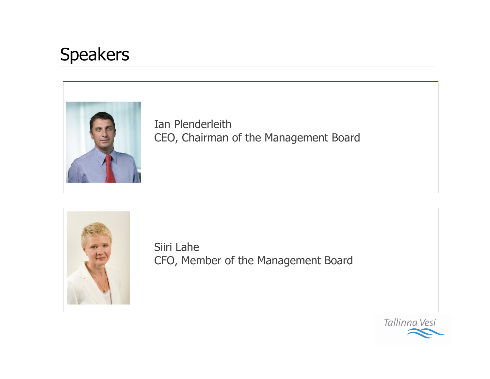# **Speakers**



Ian Plenderleith CEO, Chairman of the Management Board



Siiri Lahe CFO, Member of the Management Board

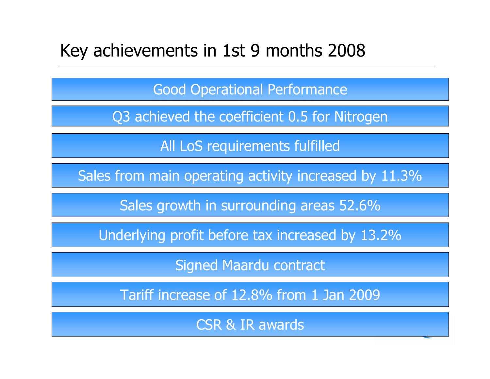#### Key achievements in 1st 9 months 2008

**Good Operational Performance** 

Q3 achieved the coefficient 0.5 for Nitrogen

All LoS requirements fulfilled

Sales from main operating activity increased by 11.3%

Sales growth in surrounding areas 52.6%

Underlying profit before tax increased by 13.2%

**Signed Maardu contract** 

Tariff increase of 12.8% from 1 Jan 2009

**CSR & IR awards**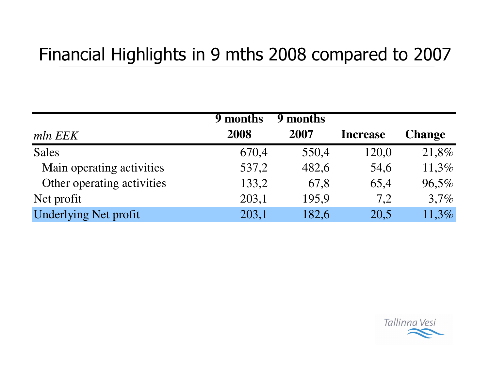# Financial Highlights in 9 mths 2008 compared to 2007

|                              | 9 months | 9 months |                 |               |
|------------------------------|----------|----------|-----------------|---------------|
| mln EEK                      | 2008     | 2007     | <b>Increase</b> | <b>Change</b> |
| <b>Sales</b>                 | 670,4    | 550,4    | 120,0           | 21,8%         |
| Main operating activities    | 537,2    | 482,6    | 54,6            | 11,3%         |
| Other operating activities   | 133,2    | 67,8     | 65,4            | 96,5%         |
| Net profit                   | 203,1    | 195,9    | 7,2             | 3,7%          |
| <b>Underlying Net profit</b> | 203,1    | 182,6    | 20,5            | 11,3%         |

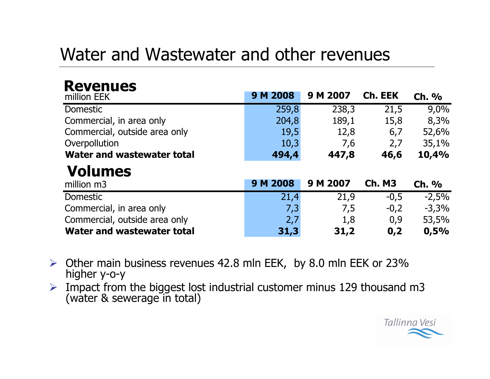### Water and Wastewater and other revenues

#### **Revenues**

| million EEK                       | 9 M 2008 | 9 M 2007 | Ch. EEK       | Ch. %   |
|-----------------------------------|----------|----------|---------------|---------|
| <b>Domestic</b>                   | 259,8    | 238,3    | 21,5          | 9,0%    |
| Commercial, in area only          | 204,8    | 189,1    | 15,8          | 8,3%    |
| Commercial, outside area only     | 19,5     | 12,8     | 6,7           | 52,6%   |
| Overpollution                     | 10,3     | 7,6      | 2,7           | 35,1%   |
| <b>Water and wastewater total</b> | 494,4    | 447,8    | 46,6          | 10,4%   |
|                                   |          |          |               |         |
| <b>Volumes</b>                    |          |          |               |         |
| million m3                        | 9 M 2008 | 9 M 2007 | <b>Ch. M3</b> | Ch. %   |
| <b>Domestic</b>                   | 21,4     | 21,9     | $-0,5$        | $-2,5%$ |
| Commercial, in area only          | 7,3      | 7,5      | $-0,2$        | $-3,3%$ |
| Commercial, outside area only     | 2,7      | 1,8      | 0,9           | 53,5%   |

- $\triangleright$  Other main business revenues 42.8 mln EEK, by 8.0 mln EEK or 23% higher y-o-y
- > Impact from the biggest lost industrial customer minus 129 thousand m3 (water & sewerage in total)

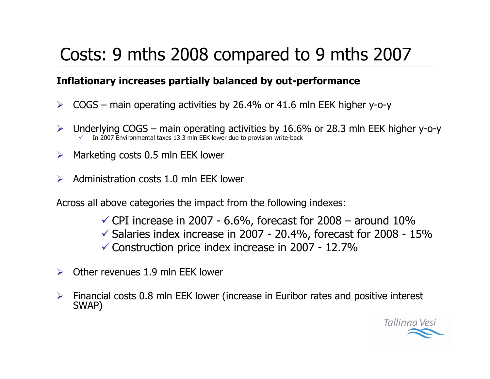# Costs: 9 mths 2008 compared to 9 mths 2007

#### Inflationary increases partially balanced by out-performance

- $\triangleright$  COGS main operating activities by 26.4% or 41.6 mln EEK higher y-o-y
- Underlying  $COGS -$  main operating activities by 16.6% or 28.3 mln EEK higher y-o-y  $\blacktriangleright$ In 2007 Environmental taxes 13.3 mln EEK lower due to provision write-back
- $\triangleright$  Marketing costs 0.5 mln EEK lower
- $\triangleright$  Administration costs 1.0 mln EEK lower

Across all above categories the impact from the following indexes:

- $\checkmark$  CPI increase in 2007 6.6%, forecast for 2008 around 10%
- $\checkmark$  Salaries index increase in 2007 20.4%, forecast for 2008 15%
- $\checkmark$  Construction price index increase in 2007 12.7%
- $\triangleright$  Other revenues 1.9 mln FFK lower
- $\triangleright$  Financial costs 0.8 mln EEK lower (increase in Euribor rates and positive interest SWAP)

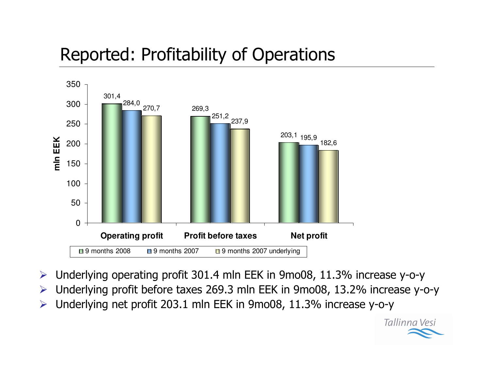# Reported: Profitability of Operations



- $\blacktriangleright$  $\triangleright$  Underlying operating profit 301.4 mln EEK in 9mo08, 11.3% increase y-o-y
- $\blacktriangleright$ > Underlying profit before taxes 269.3 mln EEK in 9mo08, 13.2% increase y-o-y

Tallinna Vesi

 $\blacktriangleright$  $\triangleright$  Underlying net profit 203.1 mln EEK in 9mo08, 11.3% increase y-o-y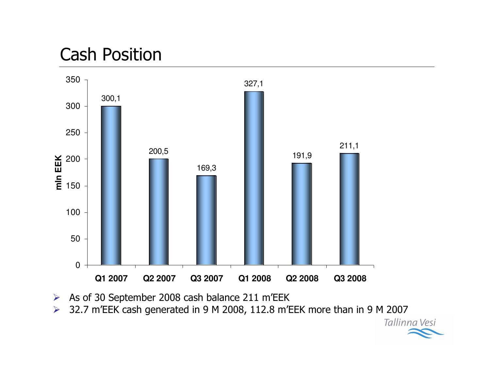#### **Cash Position**



- As of 30 September 2008 cash balance 211 m'EEK  $\blacktriangleright$
- 32.7 m'EEK cash generated in 9 M 2008, 112.8 m'EEK more than in 9 M 2007  $\blacktriangleright$ Tallinna Vesi